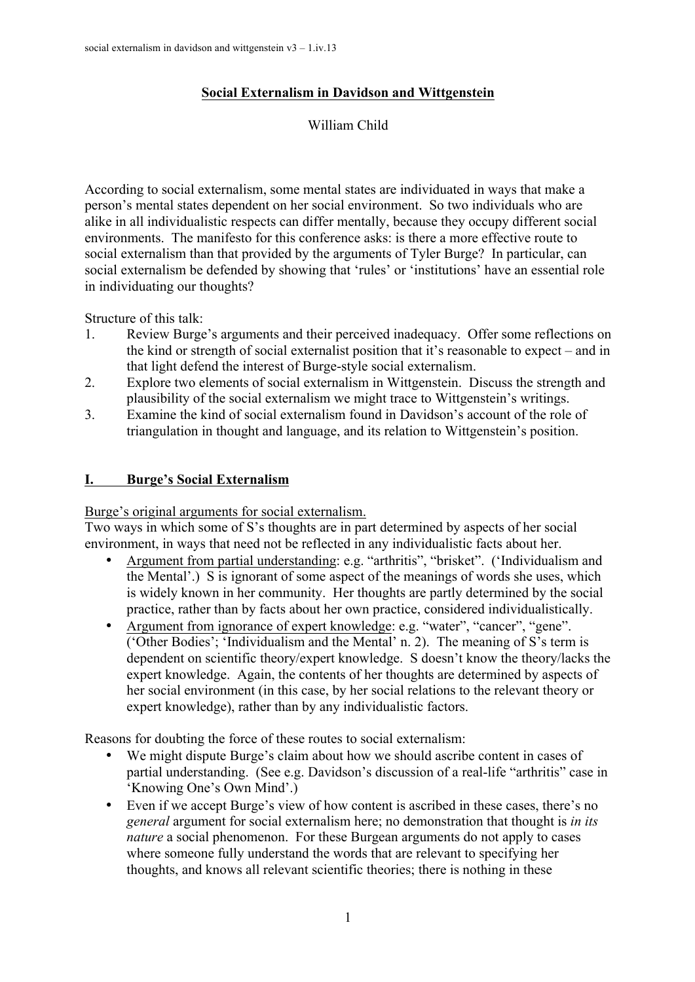# **Social Externalism in Davidson and Wittgenstein**

William Child

According to social externalism, some mental states are individuated in ways that make a person's mental states dependent on her social environment. So two individuals who are alike in all individualistic respects can differ mentally, because they occupy different social environments. The manifesto for this conference asks: is there a more effective route to social externalism than that provided by the arguments of Tyler Burge? In particular, can social externalism be defended by showing that 'rules' or 'institutions' have an essential role in individuating our thoughts?

Structure of this talk:

- 1. Review Burge's arguments and their perceived inadequacy. Offer some reflections on the kind or strength of social externalist position that it's reasonable to expect – and in that light defend the interest of Burge-style social externalism.
- 2. Explore two elements of social externalism in Wittgenstein. Discuss the strength and plausibility of the social externalism we might trace to Wittgenstein's writings.
- 3. Examine the kind of social externalism found in Davidson's account of the role of triangulation in thought and language, and its relation to Wittgenstein's position.

# **I. Burge's Social Externalism**

Burge's original arguments for social externalism.

Two ways in which some of S's thoughts are in part determined by aspects of her social environment, in ways that need not be reflected in any individualistic facts about her.

- Argument from partial understanding: e.g. "arthritis", "brisket". ('Individualism and the Mental'.) S is ignorant of some aspect of the meanings of words she uses, which is widely known in her community. Her thoughts are partly determined by the social practice, rather than by facts about her own practice, considered individualistically.
- Argument from ignorance of expert knowledge: e.g. "water", "cancer", "gene". ('Other Bodies'; 'Individualism and the Mental' n. 2). The meaning of S's term is dependent on scientific theory/expert knowledge. S doesn't know the theory/lacks the expert knowledge. Again, the contents of her thoughts are determined by aspects of her social environment (in this case, by her social relations to the relevant theory or expert knowledge), rather than by any individualistic factors.

Reasons for doubting the force of these routes to social externalism:

- We might dispute Burge's claim about how we should ascribe content in cases of partial understanding. (See e.g. Davidson's discussion of a real-life "arthritis" case in 'Knowing One's Own Mind'.)
- Even if we accept Burge's view of how content is ascribed in these cases, there's no *general* argument for social externalism here; no demonstration that thought is *in its nature* a social phenomenon. For these Burgean arguments do not apply to cases where someone fully understand the words that are relevant to specifying her thoughts, and knows all relevant scientific theories; there is nothing in these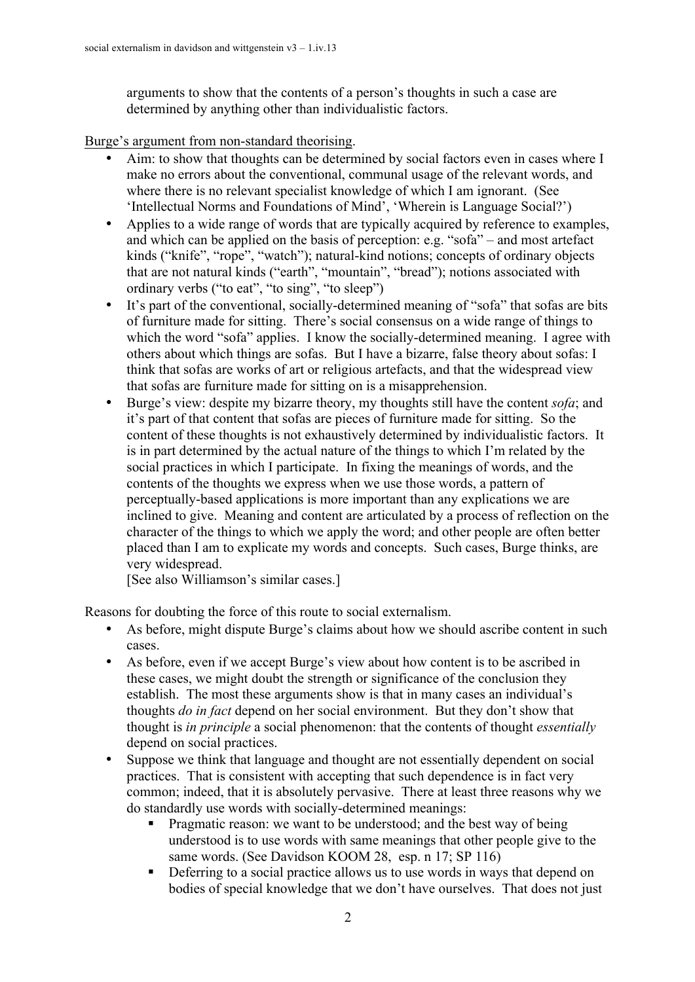arguments to show that the contents of a person's thoughts in such a case are determined by anything other than individualistic factors.

Burge's argument from non-standard theorising.

- Aim: to show that thoughts can be determined by social factors even in cases where I make no errors about the conventional, communal usage of the relevant words, and where there is no relevant specialist knowledge of which I am ignorant. (See 'Intellectual Norms and Foundations of Mind', 'Wherein is Language Social?')
- Applies to a wide range of words that are typically acquired by reference to examples, and which can be applied on the basis of perception: e.g. "sofa" – and most artefact kinds ("knife", "rope", "watch"); natural-kind notions; concepts of ordinary objects that are not natural kinds ("earth", "mountain", "bread"); notions associated with ordinary verbs ("to eat", "to sing", "to sleep")
- It's part of the conventional, socially-determined meaning of "sofa" that sofas are bits of furniture made for sitting. There's social consensus on a wide range of things to which the word "sofa" applies. I know the socially-determined meaning. I agree with others about which things are sofas. But I have a bizarre, false theory about sofas: I think that sofas are works of art or religious artefacts, and that the widespread view that sofas are furniture made for sitting on is a misapprehension.
- Burge's view: despite my bizarre theory, my thoughts still have the content *sofa*; and it's part of that content that sofas are pieces of furniture made for sitting. So the content of these thoughts is not exhaustively determined by individualistic factors. It is in part determined by the actual nature of the things to which I'm related by the social practices in which I participate. In fixing the meanings of words, and the contents of the thoughts we express when we use those words, a pattern of perceptually-based applications is more important than any explications we are inclined to give. Meaning and content are articulated by a process of reflection on the character of the things to which we apply the word; and other people are often better placed than I am to explicate my words and concepts. Such cases, Burge thinks, are very widespread.

[See also Williamson's similar cases.]

Reasons for doubting the force of this route to social externalism.

- As before, might dispute Burge's claims about how we should ascribe content in such cases.
- As before, even if we accept Burge's view about how content is to be ascribed in these cases, we might doubt the strength or significance of the conclusion they establish. The most these arguments show is that in many cases an individual's thoughts *do in fact* depend on her social environment. But they don't show that thought is *in principle* a social phenomenon: that the contents of thought *essentially* depend on social practices.
- Suppose we think that language and thought are not essentially dependent on social practices. That is consistent with accepting that such dependence is in fact very common; indeed, that it is absolutely pervasive. There at least three reasons why we do standardly use words with socially-determined meanings:
	- ! Pragmatic reason: we want to be understood; and the best way of being understood is to use words with same meanings that other people give to the same words. (See Davidson KOOM 28, esp. n 17; SP 116)
	- **•** Deferring to a social practice allows us to use words in ways that depend on bodies of special knowledge that we don't have ourselves. That does not just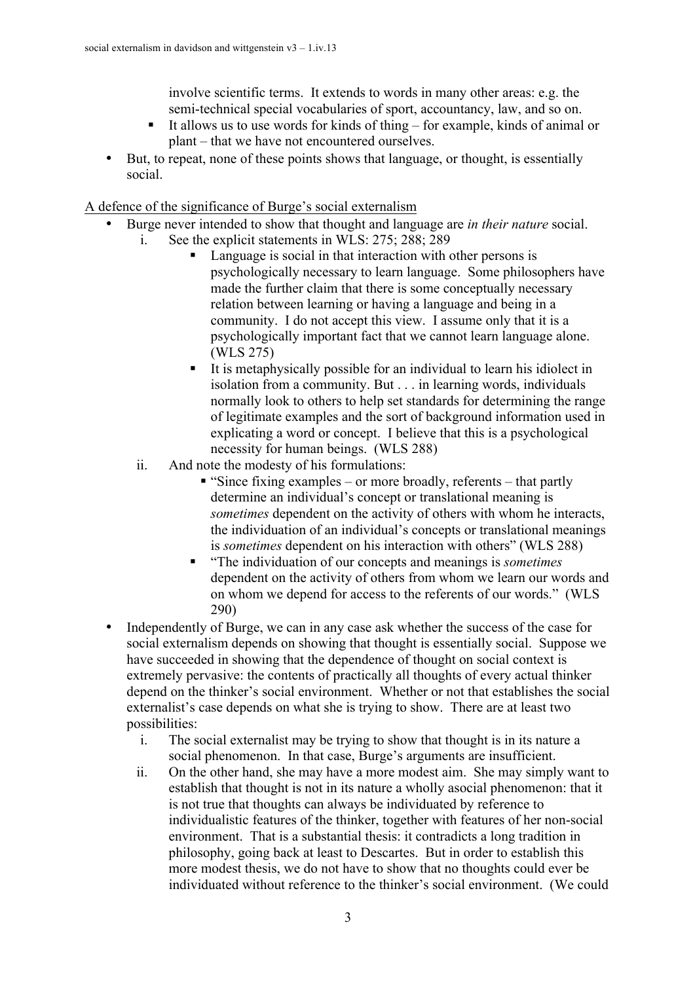involve scientific terms. It extends to words in many other areas: e.g. the semi-technical special vocabularies of sport, accountancy, law, and so on.

- It allows us to use words for kinds of thing  $-$  for example, kinds of animal or plant – that we have not encountered ourselves.
- But, to repeat, none of these points shows that language, or thought, is essentially social.

#### A defence of the significance of Burge's social externalism

- Burge never intended to show that thought and language are *in their nature* social. i. See the explicit statements in WLS: 275; 288; 289
	- Language is social in that interaction with other persons is psychologically necessary to learn language. Some philosophers have made the further claim that there is some conceptually necessary relation between learning or having a language and being in a community. I do not accept this view. I assume only that it is a psychologically important fact that we cannot learn language alone. (WLS 275)
	- ! It is metaphysically possible for an individual to learn his idiolect in isolation from a community. But . . . in learning words, individuals normally look to others to help set standards for determining the range of legitimate examples and the sort of background information used in explicating a word or concept. I believe that this is a psychological necessity for human beings. (WLS 288)
	- ii. And note the modesty of his formulations:
		- **"** "Since fixing examples or more broadly, referents that partly determine an individual's concept or translational meaning is *sometimes* dependent on the activity of others with whom he interacts, the individuation of an individual's concepts or translational meanings is *sometimes* dependent on his interaction with others" (WLS 288)
		- ! "The individuation of our concepts and meanings is *sometimes* dependent on the activity of others from whom we learn our words and on whom we depend for access to the referents of our words." (WLS 290)
- Independently of Burge, we can in any case ask whether the success of the case for social externalism depends on showing that thought is essentially social. Suppose we have succeeded in showing that the dependence of thought on social context is extremely pervasive: the contents of practically all thoughts of every actual thinker depend on the thinker's social environment. Whether or not that establishes the social externalist's case depends on what she is trying to show. There are at least two possibilities:
	- i. The social externalist may be trying to show that thought is in its nature a social phenomenon. In that case, Burge's arguments are insufficient.
	- ii. On the other hand, she may have a more modest aim. She may simply want to establish that thought is not in its nature a wholly asocial phenomenon: that it is not true that thoughts can always be individuated by reference to individualistic features of the thinker, together with features of her non-social environment. That is a substantial thesis: it contradicts a long tradition in philosophy, going back at least to Descartes. But in order to establish this more modest thesis, we do not have to show that no thoughts could ever be individuated without reference to the thinker's social environment. (We could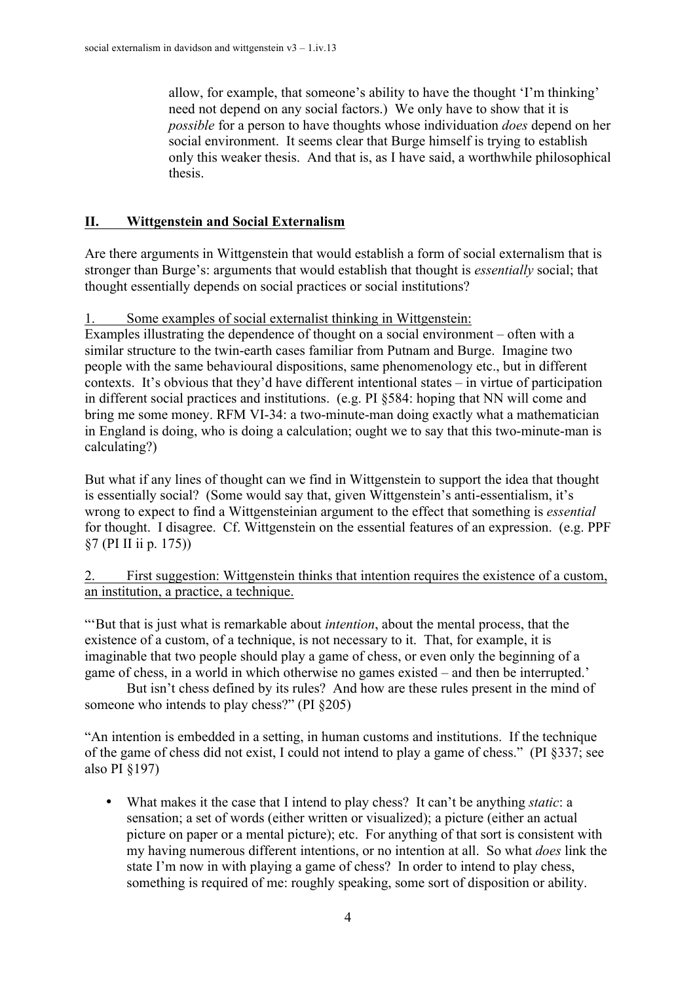allow, for example, that someone's ability to have the thought 'I'm thinking' need not depend on any social factors.) We only have to show that it is *possible* for a person to have thoughts whose individuation *does* depend on her social environment. It seems clear that Burge himself is trying to establish only this weaker thesis. And that is, as I have said, a worthwhile philosophical thesis.

### **II. Wittgenstein and Social Externalism**

Are there arguments in Wittgenstein that would establish a form of social externalism that is stronger than Burge's: arguments that would establish that thought is *essentially* social; that thought essentially depends on social practices or social institutions?

#### 1. Some examples of social externalist thinking in Wittgenstein:

Examples illustrating the dependence of thought on a social environment – often with a similar structure to the twin-earth cases familiar from Putnam and Burge. Imagine two people with the same behavioural dispositions, same phenomenology etc., but in different contexts. It's obvious that they'd have different intentional states – in virtue of participation in different social practices and institutions. (e.g. PI §584: hoping that NN will come and bring me some money. RFM VI-34: a two-minute-man doing exactly what a mathematician in England is doing, who is doing a calculation; ought we to say that this two-minute-man is calculating?)

But what if any lines of thought can we find in Wittgenstein to support the idea that thought is essentially social? (Some would say that, given Wittgenstein's anti-essentialism, it's wrong to expect to find a Wittgensteinian argument to the effect that something is *essential* for thought. I disagree. Cf. Wittgenstein on the essential features of an expression. (e.g. PPF §7 (PI II ii p. 175))

2. First suggestion: Wittgenstein thinks that intention requires the existence of a custom, an institution, a practice, a technique.

"'But that is just what is remarkable about *intention*, about the mental process, that the existence of a custom, of a technique, is not necessary to it. That, for example, it is imaginable that two people should play a game of chess, or even only the beginning of a game of chess, in a world in which otherwise no games existed – and then be interrupted.'

But isn't chess defined by its rules? And how are these rules present in the mind of someone who intends to play chess?" (PI §205)

"An intention is embedded in a setting, in human customs and institutions. If the technique of the game of chess did not exist, I could not intend to play a game of chess." (PI §337; see also PI §197)

• What makes it the case that I intend to play chess? It can't be anything *static*: a sensation; a set of words (either written or visualized); a picture (either an actual picture on paper or a mental picture); etc. For anything of that sort is consistent with my having numerous different intentions, or no intention at all. So what *does* link the state I'm now in with playing a game of chess? In order to intend to play chess, something is required of me: roughly speaking, some sort of disposition or ability.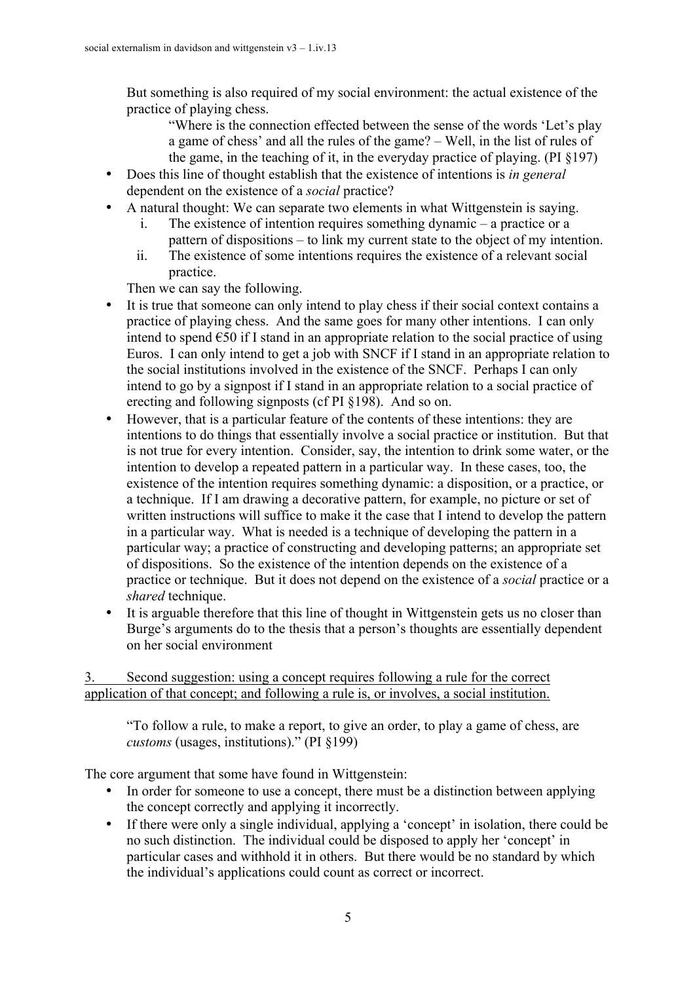But something is also required of my social environment: the actual existence of the practice of playing chess.

"Where is the connection effected between the sense of the words 'Let's play a game of chess' and all the rules of the game? – Well, in the list of rules of the game, in the teaching of it, in the everyday practice of playing. (PI §197)

- Does this line of thought establish that the existence of intentions is *in general* dependent on the existence of a *social* practice?
- A natural thought: We can separate two elements in what Wittgenstein is saying.
	- i. The existence of intention requires something dynamic a practice or a pattern of dispositions – to link my current state to the object of my intention.
	- ii. The existence of some intentions requires the existence of a relevant social practice.

Then we can say the following.

- It is true that someone can only intend to play chess if their social context contains a practice of playing chess. And the same goes for many other intentions. I can only intend to spend  $\epsilon$ 50 if I stand in an appropriate relation to the social practice of using Euros. I can only intend to get a job with SNCF if I stand in an appropriate relation to the social institutions involved in the existence of the SNCF. Perhaps I can only intend to go by a signpost if I stand in an appropriate relation to a social practice of erecting and following signposts (cf PI §198). And so on.
- However, that is a particular feature of the contents of these intentions: they are intentions to do things that essentially involve a social practice or institution. But that is not true for every intention. Consider, say, the intention to drink some water, or the intention to develop a repeated pattern in a particular way. In these cases, too, the existence of the intention requires something dynamic: a disposition, or a practice, or a technique. If I am drawing a decorative pattern, for example, no picture or set of written instructions will suffice to make it the case that I intend to develop the pattern in a particular way. What is needed is a technique of developing the pattern in a particular way; a practice of constructing and developing patterns; an appropriate set of dispositions. So the existence of the intention depends on the existence of a practice or technique. But it does not depend on the existence of a *social* practice or a *shared* technique.
- It is arguable therefore that this line of thought in Wittgenstein gets us no closer than Burge's arguments do to the thesis that a person's thoughts are essentially dependent on her social environment

3. Second suggestion: using a concept requires following a rule for the correct application of that concept; and following a rule is, or involves, a social institution.

"To follow a rule, to make a report, to give an order, to play a game of chess, are *customs* (usages, institutions)." (PI §199)

The core argument that some have found in Wittgenstein:

- In order for someone to use a concept, there must be a distinction between applying the concept correctly and applying it incorrectly.
- If there were only a single individual, applying a 'concept' in isolation, there could be no such distinction. The individual could be disposed to apply her 'concept' in particular cases and withhold it in others. But there would be no standard by which the individual's applications could count as correct or incorrect.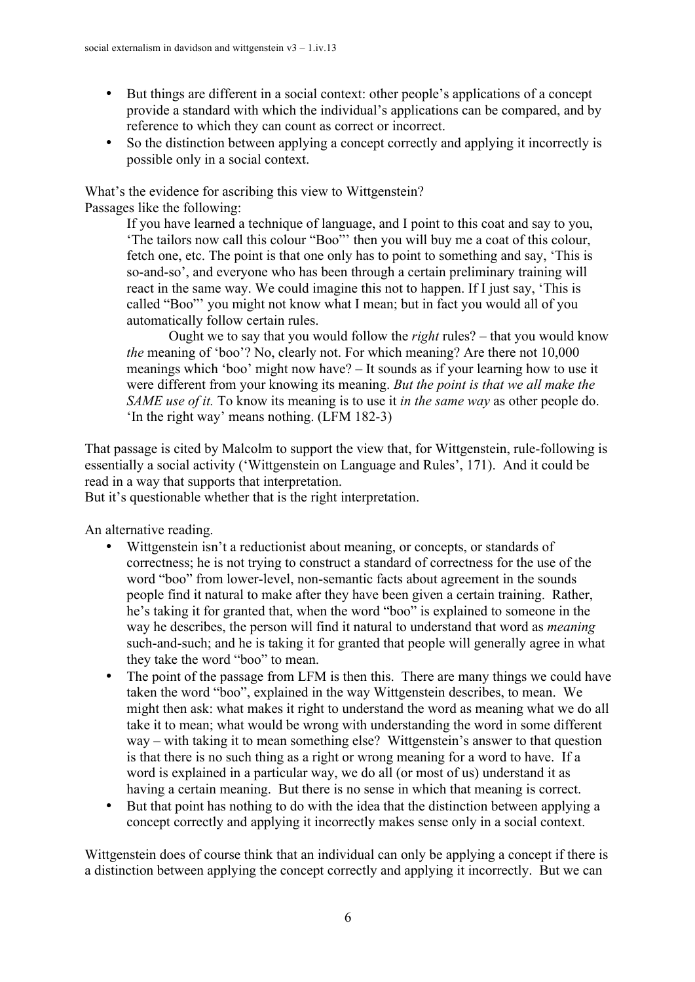- But things are different in a social context: other people's applications of a concept provide a standard with which the individual's applications can be compared, and by reference to which they can count as correct or incorrect.
- So the distinction between applying a concept correctly and applying it incorrectly is possible only in a social context.

What's the evidence for ascribing this view to Wittgenstein? Passages like the following:

> If you have learned a technique of language, and I point to this coat and say to you, 'The tailors now call this colour "Boo"' then you will buy me a coat of this colour, fetch one, etc. The point is that one only has to point to something and say, 'This is so-and-so', and everyone who has been through a certain preliminary training will react in the same way. We could imagine this not to happen. If I just say, 'This is called "Boo"' you might not know what I mean; but in fact you would all of you automatically follow certain rules.

Ought we to say that you would follow the *right* rules? – that you would know *the* meaning of 'boo'? No, clearly not. For which meaning? Are there not 10,000 meanings which 'boo' might now have? – It sounds as if your learning how to use it were different from your knowing its meaning. *But the point is that we all make the SAME use of it.* To know its meaning is to use it *in the same way* as other people do. 'In the right way' means nothing. (LFM 182-3)

That passage is cited by Malcolm to support the view that, for Wittgenstein, rule-following is essentially a social activity ('Wittgenstein on Language and Rules', 171). And it could be read in a way that supports that interpretation.

But it's questionable whether that is the right interpretation.

An alternative reading.

- Wittgenstein isn't a reductionist about meaning, or concepts, or standards of correctness; he is not trying to construct a standard of correctness for the use of the word "boo" from lower-level, non-semantic facts about agreement in the sounds people find it natural to make after they have been given a certain training. Rather, he's taking it for granted that, when the word "boo" is explained to someone in the way he describes, the person will find it natural to understand that word as *meaning* such-and-such; and he is taking it for granted that people will generally agree in what they take the word "boo" to mean.
- The point of the passage from LFM is then this. There are many things we could have taken the word "boo", explained in the way Wittgenstein describes, to mean. We might then ask: what makes it right to understand the word as meaning what we do all take it to mean; what would be wrong with understanding the word in some different way – with taking it to mean something else? Wittgenstein's answer to that question is that there is no such thing as a right or wrong meaning for a word to have. If a word is explained in a particular way, we do all (or most of us) understand it as having a certain meaning. But there is no sense in which that meaning is correct.
- But that point has nothing to do with the idea that the distinction between applying a concept correctly and applying it incorrectly makes sense only in a social context.

Wittgenstein does of course think that an individual can only be applying a concept if there is a distinction between applying the concept correctly and applying it incorrectly. But we can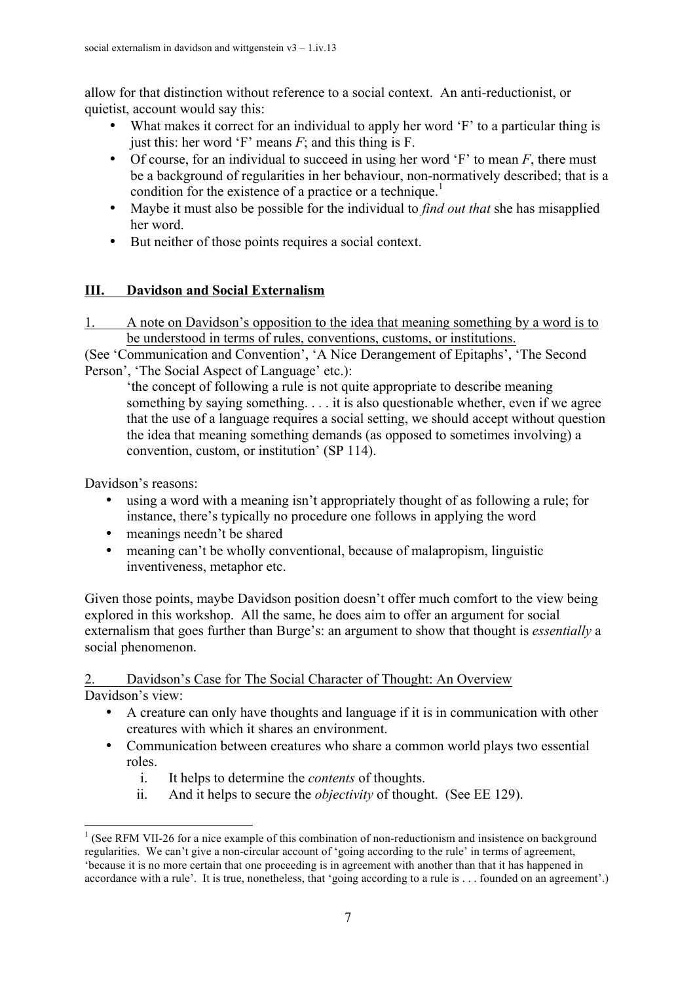allow for that distinction without reference to a social context. An anti-reductionist, or quietist, account would say this:

- What makes it correct for an individual to apply her word 'F' to a particular thing is just this: her word 'F' means *F*; and this thing is F.
- Of course, for an individual to succeed in using her word 'F' to mean *F*, there must be a background of regularities in her behaviour, non-normatively described; that is a condition for the existence of a practice or a technique.<sup>1</sup>
- Maybe it must also be possible for the individual to *find out that* she has misapplied her word.
- But neither of those points requires a social context.

## **III. Davidson and Social Externalism**

1. A note on Davidson's opposition to the idea that meaning something by a word is to be understood in terms of rules, conventions, customs, or institutions.

(See 'Communication and Convention', 'A Nice Derangement of Epitaphs', 'The Second Person', 'The Social Aspect of Language' etc.):

'the concept of following a rule is not quite appropriate to describe meaning something by saying something. . . . it is also questionable whether, even if we agree that the use of a language requires a social setting, we should accept without question the idea that meaning something demands (as opposed to sometimes involving) a convention, custom, or institution' (SP 114).

Davidson's reasons:

- using a word with a meaning isn't appropriately thought of as following a rule; for instance, there's typically no procedure one follows in applying the word
- meanings needn't be shared
- meaning can't be wholly conventional, because of malapropism, linguistic inventiveness, metaphor etc.

Given those points, maybe Davidson position doesn't offer much comfort to the view being explored in this workshop. All the same, he does aim to offer an argument for social externalism that goes further than Burge's: an argument to show that thought is *essentially* a social phenomenon.

### 2. Davidson's Case for The Social Character of Thought: An Overview Davidson's view:

- A creature can only have thoughts and language if it is in communication with other creatures with which it shares an environment.
- Communication between creatures who share a common world plays two essential roles.
	- i. It helps to determine the *contents* of thoughts.
	- ii. And it helps to secure the *objectivity* of thought. (See EE 129).

<sup>&</sup>lt;sup>1</sup> (See RFM VII-26 for a nice example of this combination of non-reductionism and insistence on background regularities. We can't give a non-circular account of 'going according to the rule' in terms of agreement, 'because it is no more certain that one proceeding is in agreement with another than that it has happened in accordance with a rule'. It is true, nonetheless, that 'going according to a rule is . . . founded on an agreement'.)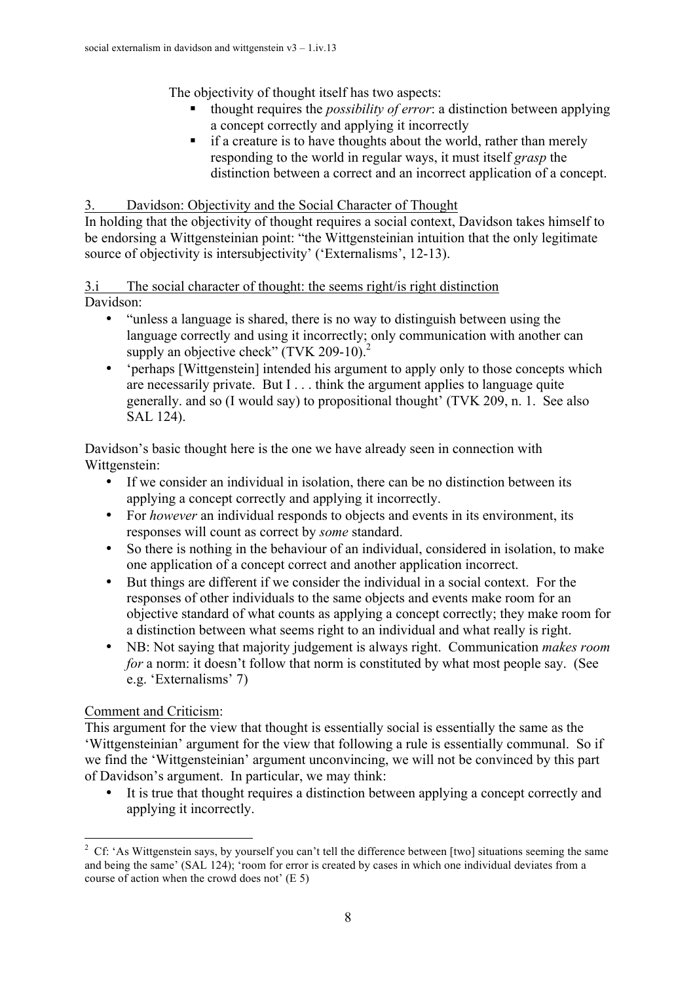The objectivity of thought itself has two aspects:

- ! thought requires the *possibility of error*: a distinction between applying a concept correctly and applying it incorrectly
- **If a creature is to have thoughts about the world, rather than merely** responding to the world in regular ways, it must itself *grasp* the distinction between a correct and an incorrect application of a concept.

3. Davidson: Objectivity and the Social Character of Thought

In holding that the objectivity of thought requires a social context, Davidson takes himself to be endorsing a Wittgensteinian point: "the Wittgensteinian intuition that the only legitimate source of objectivity is intersubjectivity' ('Externalisms', 12-13).

3.i The social character of thought: the seems right/is right distinction Davidson:

- "unless a language is shared, there is no way to distinguish between using the language correctly and using it incorrectly; only communication with another can supply an objective check"  $(TVK 209-10)^2$
- 'perhaps [Wittgenstein] intended his argument to apply only to those concepts which are necessarily private. But I . . . think the argument applies to language quite generally. and so (I would say) to propositional thought' (TVK 209, n. 1. See also SAL 124).

Davidson's basic thought here is the one we have already seen in connection with Wittgenstein:

- If we consider an individual in isolation, there can be no distinction between its applying a concept correctly and applying it incorrectly.
- For *however* an individual responds to objects and events in its environment, its responses will count as correct by *some* standard.
- So there is nothing in the behaviour of an individual, considered in isolation, to make one application of a concept correct and another application incorrect.
- But things are different if we consider the individual in a social context. For the responses of other individuals to the same objects and events make room for an objective standard of what counts as applying a concept correctly; they make room for a distinction between what seems right to an individual and what really is right.
- NB: Not saying that majority judgement is always right. Communication *makes room for* a norm: it doesn't follow that norm is constituted by what most people say. (See e.g. 'Externalisms' 7)

# Comment and Criticism:

This argument for the view that thought is essentially social is essentially the same as the 'Wittgensteinian' argument for the view that following a rule is essentially communal. So if we find the 'Wittgensteinian' argument unconvincing, we will not be convinced by this part of Davidson's argument. In particular, we may think:

• It is true that thought requires a distinction between applying a concept correctly and applying it incorrectly.

 $\frac{1}{2}$ <sup>2</sup> Cf: 'As Wittgenstein says, by yourself you can't tell the difference between [two] situations seeming the same and being the same' (SAL 124); 'room for error is created by cases in which one individual deviates from a course of action when the crowd does not' (E 5)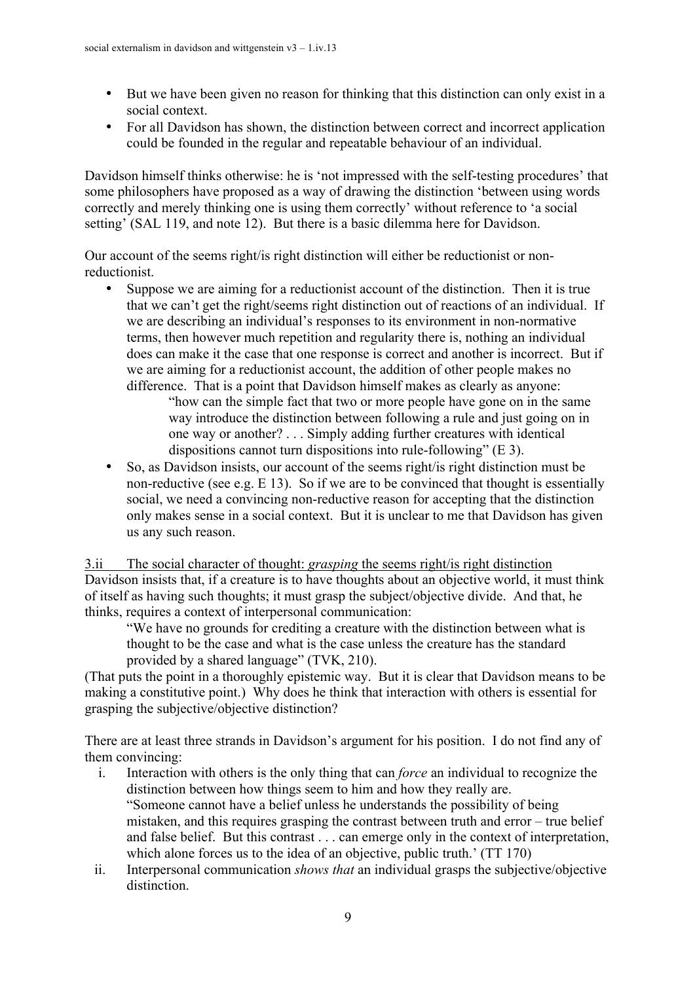- But we have been given no reason for thinking that this distinction can only exist in a social context.
- For all Davidson has shown, the distinction between correct and incorrect application could be founded in the regular and repeatable behaviour of an individual.

Davidson himself thinks otherwise: he is 'not impressed with the self-testing procedures' that some philosophers have proposed as a way of drawing the distinction 'between using words correctly and merely thinking one is using them correctly' without reference to 'a social setting' (SAL 119, and note 12). But there is a basic dilemma here for Davidson.

Our account of the seems right/is right distinction will either be reductionist or nonreductionist.

- Suppose we are aiming for a reductionist account of the distinction. Then it is true that we can't get the right/seems right distinction out of reactions of an individual. If we are describing an individual's responses to its environment in non-normative terms, then however much repetition and regularity there is, nothing an individual does can make it the case that one response is correct and another is incorrect. But if we are aiming for a reductionist account, the addition of other people makes no difference. That is a point that Davidson himself makes as clearly as anyone:
	- "how can the simple fact that two or more people have gone on in the same way introduce the distinction between following a rule and just going on in one way or another? . . . Simply adding further creatures with identical dispositions cannot turn dispositions into rule-following" (E 3).
- So, as Davidson insists, our account of the seems right/is right distinction must be non-reductive (see e.g. E 13). So if we are to be convinced that thought is essentially social, we need a convincing non-reductive reason for accepting that the distinction only makes sense in a social context. But it is unclear to me that Davidson has given us any such reason.

3.ii The social character of thought: *grasping* the seems right/is right distinction Davidson insists that, if a creature is to have thoughts about an objective world, it must think of itself as having such thoughts; it must grasp the subject/objective divide. And that, he thinks, requires a context of interpersonal communication:

"We have no grounds for crediting a creature with the distinction between what is thought to be the case and what is the case unless the creature has the standard provided by a shared language" (TVK, 210).

(That puts the point in a thoroughly epistemic way. But it is clear that Davidson means to be making a constitutive point.) Why does he think that interaction with others is essential for grasping the subjective/objective distinction?

There are at least three strands in Davidson's argument for his position. I do not find any of them convincing:

- i. Interaction with others is the only thing that can *force* an individual to recognize the distinction between how things seem to him and how they really are. "Someone cannot have a belief unless he understands the possibility of being mistaken, and this requires grasping the contrast between truth and error – true belief and false belief. But this contrast . . . can emerge only in the context of interpretation, which alone forces us to the idea of an objective, public truth.' (TT 170)
- ii. Interpersonal communication *shows that* an individual grasps the subjective/objective distinction.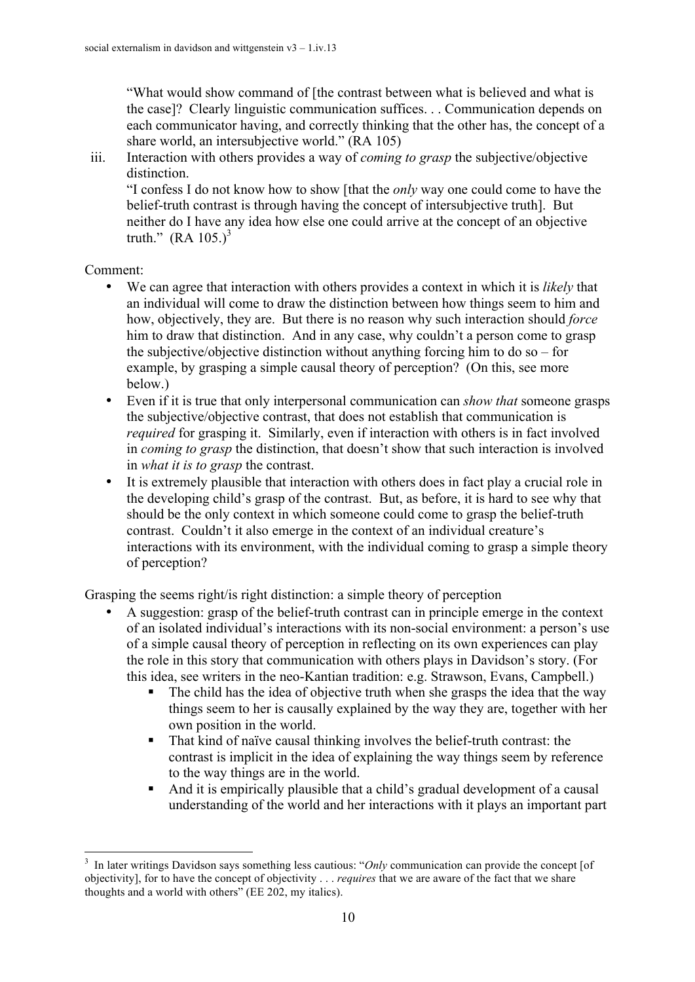"What would show command of [the contrast between what is believed and what is the case]? Clearly linguistic communication suffices. . . Communication depends on each communicator having, and correctly thinking that the other has, the concept of a share world, an intersubjective world." (RA 105)

iii. Interaction with others provides a way of *coming to grasp* the subjective/objective distinction. "I confess I do not know how to show [that the *only* way one could come to have the belief-truth contrast is through having the concept of intersubjective truth]. But neither do I have any idea how else one could arrive at the concept of an objective truth."  $(RA 105.)^3$ 

Comment:

- We can agree that interaction with others provides a context in which it is *likely* that an individual will come to draw the distinction between how things seem to him and how, objectively, they are. But there is no reason why such interaction should *force* him to draw that distinction. And in any case, why couldn't a person come to grasp the subjective/objective distinction without anything forcing him to do so – for example, by grasping a simple causal theory of perception? (On this, see more below.)
- Even if it is true that only interpersonal communication can *show that* someone grasps the subjective/objective contrast, that does not establish that communication is *required* for grasping it. Similarly, even if interaction with others is in fact involved in *coming to grasp* the distinction, that doesn't show that such interaction is involved in *what it is to grasp* the contrast.
- It is extremely plausible that interaction with others does in fact play a crucial role in the developing child's grasp of the contrast. But, as before, it is hard to see why that should be the only context in which someone could come to grasp the belief-truth contrast. Couldn't it also emerge in the context of an individual creature's interactions with its environment, with the individual coming to grasp a simple theory of perception?

Grasping the seems right/is right distinction: a simple theory of perception

- A suggestion: grasp of the belief-truth contrast can in principle emerge in the context of an isolated individual's interactions with its non-social environment: a person's use of a simple causal theory of perception in reflecting on its own experiences can play the role in this story that communication with others plays in Davidson's story. (For this idea, see writers in the neo-Kantian tradition: e.g. Strawson, Evans, Campbell.)
	- ! The child has the idea of objective truth when she grasps the idea that the way things seem to her is causally explained by the way they are, together with her own position in the world.
	- ! That kind of naïve causal thinking involves the belief-truth contrast: the contrast is implicit in the idea of explaining the way things seem by reference to the way things are in the world.
	- ! And it is empirically plausible that a child's gradual development of a causal understanding of the world and her interactions with it plays an important part

 <sup>3</sup> <sup>3</sup> In later writings Davidson says something less cautious: "*Only* communication can provide the concept [of objectivity], for to have the concept of objectivity . . . *requires* that we are aware of the fact that we share thoughts and a world with others" (EE 202, my italics).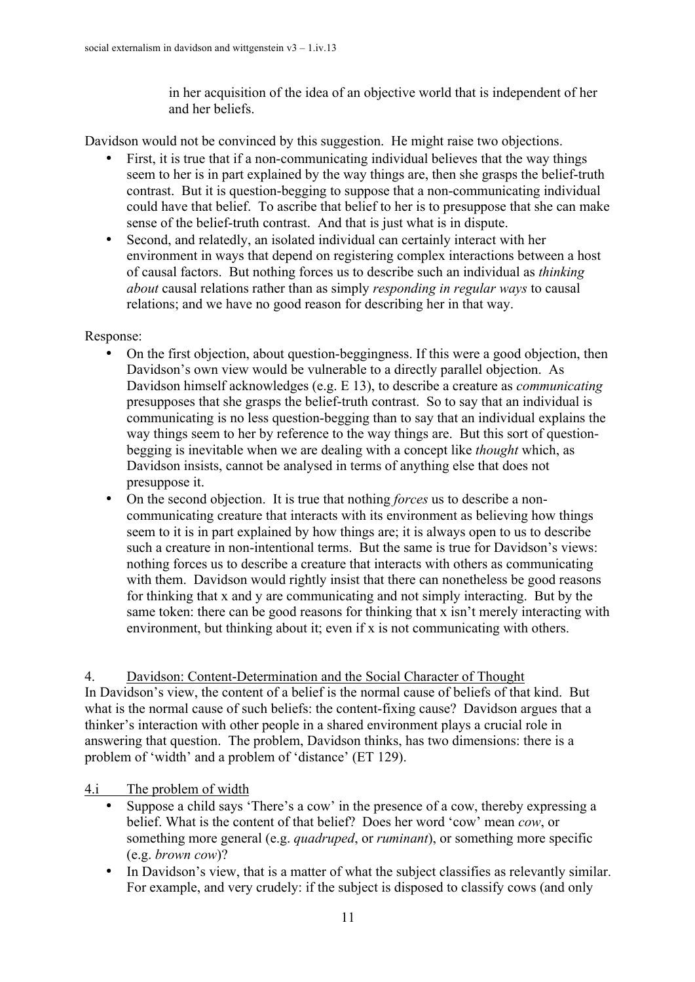in her acquisition of the idea of an objective world that is independent of her and her beliefs.

Davidson would not be convinced by this suggestion. He might raise two objections.

- First, it is true that if a non-communicating individual believes that the way things seem to her is in part explained by the way things are, then she grasps the belief-truth contrast. But it is question-begging to suppose that a non-communicating individual could have that belief. To ascribe that belief to her is to presuppose that she can make sense of the belief-truth contrast. And that is just what is in dispute.
- Second, and relatedly, an isolated individual can certainly interact with her environment in ways that depend on registering complex interactions between a host of causal factors. But nothing forces us to describe such an individual as *thinking about* causal relations rather than as simply *responding in regular ways* to causal relations; and we have no good reason for describing her in that way.

#### Response:

- On the first objection, about question-beggingness. If this were a good objection, then Davidson's own view would be vulnerable to a directly parallel objection. As Davidson himself acknowledges (e.g. E 13), to describe a creature as *communicating* presupposes that she grasps the belief-truth contrast. So to say that an individual is communicating is no less question-begging than to say that an individual explains the way things seem to her by reference to the way things are. But this sort of questionbegging is inevitable when we are dealing with a concept like *thought* which, as Davidson insists, cannot be analysed in terms of anything else that does not presuppose it.
- On the second objection. It is true that nothing *forces* us to describe a noncommunicating creature that interacts with its environment as believing how things seem to it is in part explained by how things are; it is always open to us to describe such a creature in non-intentional terms. But the same is true for Davidson's views: nothing forces us to describe a creature that interacts with others as communicating with them. Davidson would rightly insist that there can nonetheless be good reasons for thinking that x and y are communicating and not simply interacting. But by the same token: there can be good reasons for thinking that x isn't merely interacting with environment, but thinking about it; even if x is not communicating with others.

4. Davidson: Content-Determination and the Social Character of Thought In Davidson's view, the content of a belief is the normal cause of beliefs of that kind. But what is the normal cause of such beliefs: the content-fixing cause? Davidson argues that a thinker's interaction with other people in a shared environment plays a crucial role in answering that question. The problem, Davidson thinks, has two dimensions: there is a problem of 'width' and a problem of 'distance' (ET 129).

## 4.i The problem of width

- Suppose a child says 'There's a cow' in the presence of a cow, thereby expressing a belief. What is the content of that belief? Does her word 'cow' mean *cow*, or something more general (e.g. *quadruped*, or *ruminant*), or something more specific (e.g. *brown cow*)?
- In Davidson's view, that is a matter of what the subject classifies as relevantly similar. For example, and very crudely: if the subject is disposed to classify cows (and only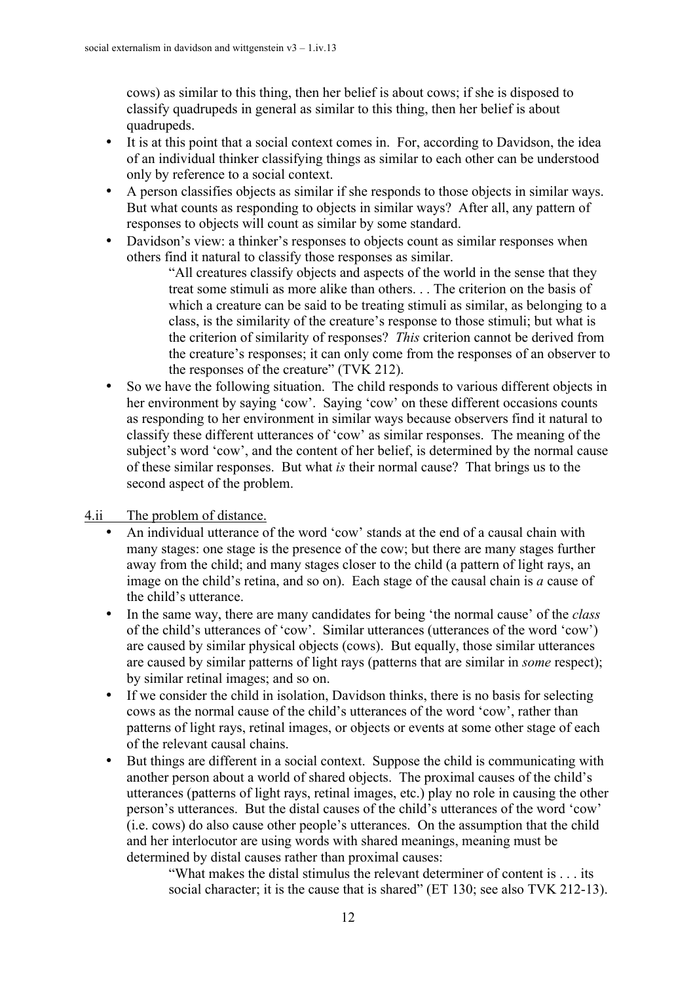cows) as similar to this thing, then her belief is about cows; if she is disposed to classify quadrupeds in general as similar to this thing, then her belief is about quadrupeds.

- It is at this point that a social context comes in. For, according to Davidson, the idea of an individual thinker classifying things as similar to each other can be understood only by reference to a social context.
- A person classifies objects as similar if she responds to those objects in similar ways. But what counts as responding to objects in similar ways? After all, any pattern of responses to objects will count as similar by some standard.
- Davidson's view: a thinker's responses to objects count as similar responses when others find it natural to classify those responses as similar.

"All creatures classify objects and aspects of the world in the sense that they treat some stimuli as more alike than others. . . The criterion on the basis of which a creature can be said to be treating stimuli as similar, as belonging to a class, is the similarity of the creature's response to those stimuli; but what is the criterion of similarity of responses? *This* criterion cannot be derived from the creature's responses; it can only come from the responses of an observer to the responses of the creature" (TVK 212).

• So we have the following situation. The child responds to various different objects in her environment by saying 'cow'. Saying 'cow' on these different occasions counts as responding to her environment in similar ways because observers find it natural to classify these different utterances of 'cow' as similar responses. The meaning of the subject's word 'cow', and the content of her belief, is determined by the normal cause of these similar responses. But what *is* their normal cause? That brings us to the second aspect of the problem.

4.ii The problem of distance.

- An individual utterance of the word 'cow' stands at the end of a causal chain with many stages: one stage is the presence of the cow; but there are many stages further away from the child; and many stages closer to the child (a pattern of light rays, an image on the child's retina, and so on). Each stage of the causal chain is *a* cause of the child's utterance.
- In the same way, there are many candidates for being 'the normal cause' of the *class* of the child's utterances of 'cow'. Similar utterances (utterances of the word 'cow') are caused by similar physical objects (cows). But equally, those similar utterances are caused by similar patterns of light rays (patterns that are similar in *some* respect); by similar retinal images; and so on.
- If we consider the child in isolation, Davidson thinks, there is no basis for selecting cows as the normal cause of the child's utterances of the word 'cow', rather than patterns of light rays, retinal images, or objects or events at some other stage of each of the relevant causal chains.
- But things are different in a social context. Suppose the child is communicating with another person about a world of shared objects. The proximal causes of the child's utterances (patterns of light rays, retinal images, etc.) play no role in causing the other person's utterances. But the distal causes of the child's utterances of the word 'cow' (i.e. cows) do also cause other people's utterances. On the assumption that the child and her interlocutor are using words with shared meanings, meaning must be determined by distal causes rather than proximal causes:

"What makes the distal stimulus the relevant determiner of content is . . . its social character; it is the cause that is shared" (ET 130; see also TVK 212-13).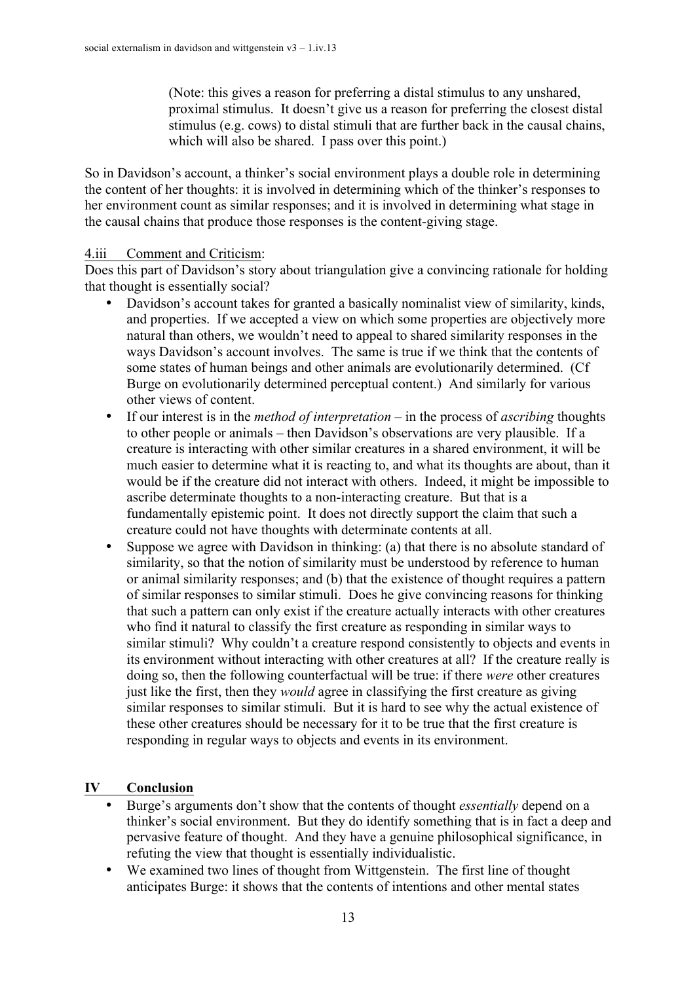(Note: this gives a reason for preferring a distal stimulus to any unshared, proximal stimulus. It doesn't give us a reason for preferring the closest distal stimulus (e.g. cows) to distal stimuli that are further back in the causal chains, which will also be shared. I pass over this point.)

So in Davidson's account, a thinker's social environment plays a double role in determining the content of her thoughts: it is involved in determining which of the thinker's responses to her environment count as similar responses; and it is involved in determining what stage in the causal chains that produce those responses is the content-giving stage.

#### 4.iii Comment and Criticism:

Does this part of Davidson's story about triangulation give a convincing rationale for holding that thought is essentially social?

- Davidson's account takes for granted a basically nominalist view of similarity, kinds, and properties. If we accepted a view on which some properties are objectively more natural than others, we wouldn't need to appeal to shared similarity responses in the ways Davidson's account involves. The same is true if we think that the contents of some states of human beings and other animals are evolutionarily determined. (Cf Burge on evolutionarily determined perceptual content.) And similarly for various other views of content.
- If our interest is in the *method of interpretation* in the process of *ascribing* thoughts to other people or animals – then Davidson's observations are very plausible. If a creature is interacting with other similar creatures in a shared environment, it will be much easier to determine what it is reacting to, and what its thoughts are about, than it would be if the creature did not interact with others. Indeed, it might be impossible to ascribe determinate thoughts to a non-interacting creature. But that is a fundamentally epistemic point. It does not directly support the claim that such a creature could not have thoughts with determinate contents at all.
- Suppose we agree with Davidson in thinking: (a) that there is no absolute standard of similarity, so that the notion of similarity must be understood by reference to human or animal similarity responses; and (b) that the existence of thought requires a pattern of similar responses to similar stimuli. Does he give convincing reasons for thinking that such a pattern can only exist if the creature actually interacts with other creatures who find it natural to classify the first creature as responding in similar ways to similar stimuli? Why couldn't a creature respond consistently to objects and events in its environment without interacting with other creatures at all? If the creature really is doing so, then the following counterfactual will be true: if there *were* other creatures just like the first, then they *would* agree in classifying the first creature as giving similar responses to similar stimuli. But it is hard to see why the actual existence of these other creatures should be necessary for it to be true that the first creature is responding in regular ways to objects and events in its environment.

## **IV Conclusion**

- Burge's arguments don't show that the contents of thought *essentially* depend on a thinker's social environment. But they do identify something that is in fact a deep and pervasive feature of thought. And they have a genuine philosophical significance, in refuting the view that thought is essentially individualistic.
- We examined two lines of thought from Wittgenstein. The first line of thought anticipates Burge: it shows that the contents of intentions and other mental states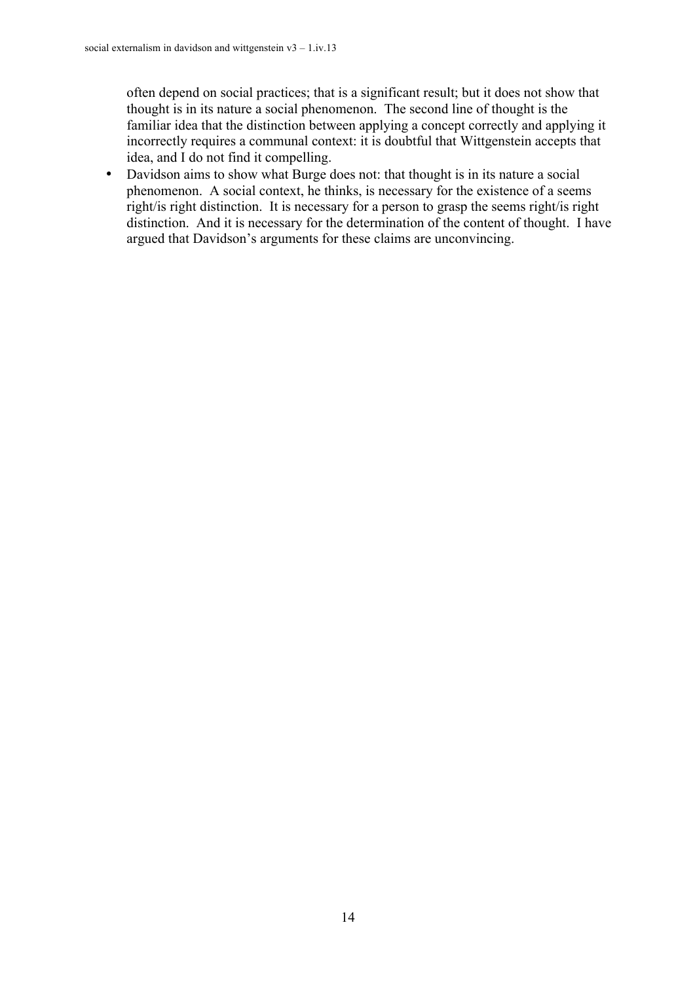often depend on social practices; that is a significant result; but it does not show that thought is in its nature a social phenomenon. The second line of thought is the familiar idea that the distinction between applying a concept correctly and applying it incorrectly requires a communal context: it is doubtful that Wittgenstein accepts that idea, and I do not find it compelling.

• Davidson aims to show what Burge does not: that thought is in its nature a social phenomenon. A social context, he thinks, is necessary for the existence of a seems right/is right distinction. It is necessary for a person to grasp the seems right/is right distinction. And it is necessary for the determination of the content of thought. I have argued that Davidson's arguments for these claims are unconvincing.